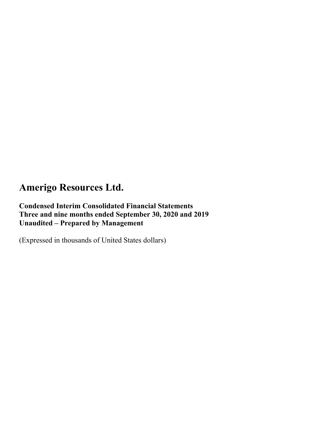### **Condensed Interim Consolidated Financial Statements Three and nine months ended September 30, 2020 and 2019 Unaudited – Prepared by Management**

(Expressed in thousands of United States dollars)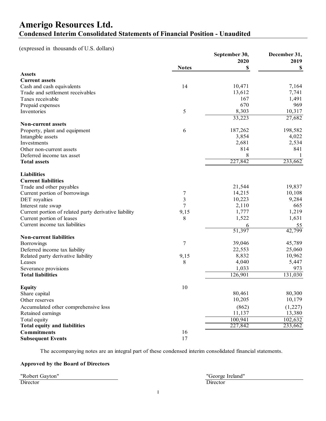### **Amerigo Resources Ltd. Condensed Interim Consolidated Statements of Financial Position - Unaudited**

(expressed in thousands of U.S. dollars)

|                                                                                    |              | September 30, | December 31,        |
|------------------------------------------------------------------------------------|--------------|---------------|---------------------|
|                                                                                    |              | 2020          | 2019                |
|                                                                                    | <b>Notes</b> | S             | S                   |
| <b>Assets</b>                                                                      |              |               |                     |
| <b>Current assets</b>                                                              |              |               |                     |
| Cash and cash equivalents                                                          | 14           | 10,471        | 7,164               |
| Trade and settlement receivables                                                   |              | 13,612        | 7,741               |
| Taxes receivable                                                                   |              | 167           | 1,491               |
| Prepaid expenses                                                                   |              | 670           | 969                 |
| Inventories                                                                        | 5            | 8,303         | 10,317              |
|                                                                                    |              | 33,223        | 27,682              |
| <b>Non-current assets</b>                                                          |              |               |                     |
| Property, plant and equipment                                                      | 6            | 187,262       | 198,582             |
| Intangible assets                                                                  |              | 3,854         | 4,022               |
| Investments                                                                        |              | 2,681         | 2,534               |
| Other non-current assets                                                           |              | 814           | 841                 |
| Deferred income tax asset                                                          |              | 8             |                     |
| <b>Total assets</b>                                                                |              | 227,842       | 233,662             |
| <b>Liabilities</b>                                                                 |              |               |                     |
| <b>Current liabilities</b>                                                         |              |               |                     |
| Trade and other payables                                                           |              | 21,544        | 19,837              |
| Current portion of borrowings                                                      | 7            | 14,215        | 10,108              |
| DET royalties                                                                      | 3            | 10,223        | 9,284               |
| Interest rate swap                                                                 | $\tau$       | 2,110         | 665                 |
|                                                                                    | 9,15         | 1,777         | 1,219               |
| Current portion of related party derivative liability<br>Current portion of leases | 8            | 1,522         | 1,631               |
| Current income tax liabilities                                                     |              |               |                     |
|                                                                                    |              | 6<br>51,397   | <u>55</u><br>42,799 |
| <b>Non-current liabilities</b>                                                     |              |               |                     |
| Borrowings                                                                         | 7            | 39,046        | 45,789              |
| Deferred income tax liability                                                      |              | 22,553        | 25,060              |
| Related party derivative liability                                                 | 9,15         | 8,832         | 10,962              |
| Leases                                                                             | 8            | 4,040         | 5,447               |
| Severance provisions                                                               |              | 1,033         | 973                 |
| <b>Total liabilities</b>                                                           |              | 126,901       | 131,030             |
|                                                                                    |              |               |                     |
| <b>Equity</b>                                                                      | 10           |               |                     |
| Share capital                                                                      |              | 80,461        | 80,300              |
| Other reserves                                                                     |              | 10,205        | 10,179              |
| Accumulated other comprehensive loss                                               |              | (862)         | (1,227)             |
| Retained earnings                                                                  |              | 11,137        | 13,380              |
| Total equity                                                                       |              | 100,941       | 102,632             |
| <b>Total equity and liabilities</b>                                                |              | 227,842       | 233,662             |
| <b>Commitments</b>                                                                 | 16           |               |                     |
| <b>Subsequent Events</b>                                                           | 17           |               |                     |
|                                                                                    |              |               |                     |

The accompanying notes are an integral part of these condensed interim consolidated financial statements.

#### **Approved by the Board of Directors**

"Robert Gayton" "George Ireland" Director Director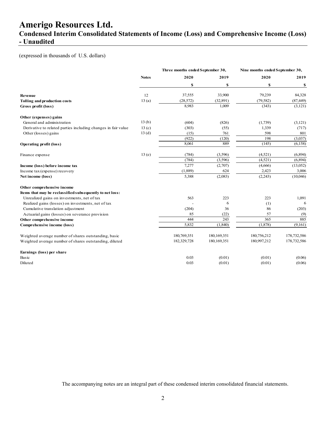**Condensed Interim Consolidated Statements of Income (Loss) and Comprehensive Income (Loss) - Unaudited** 

#### (expressed in thousands of U.S. dollars)

|                                                               |              | Three months ended September 30, |             |             | Nine months ended September 30, |
|---------------------------------------------------------------|--------------|----------------------------------|-------------|-------------|---------------------------------|
|                                                               | <b>Notes</b> | 2020                             | 2019        | 2020        | 2019                            |
|                                                               |              | \$                               | \$          | \$          | \$                              |
| <b>Revenue</b>                                                | 12           | 37,555                           | 33,900      | 79,239      | 84,328                          |
| Tolling and production costs                                  | 13(a)        | (28, 572)                        | (32,891)    | (79, 582)   | (87, 449)                       |
| Gross profit (loss)                                           |              | 8,983                            | 1,009       | (343)       | (3, 121)                        |
| Other (expenses) gains                                        |              |                                  |             |             |                                 |
| General and administration                                    | 13(b)        | (604)                            | (826)       | (1,739)     | (3,121)                         |
| Derivative to related parties including changes in fair value | 13(c)        | (303)                            | (55)        | 1,339       | (717)                           |
| Other (losses) gains                                          | 13(d)        | (15)                             | 761         | 598         | 801                             |
|                                                               |              | (922)                            | (120)       | 198         | (3,037)                         |
| <b>Operating profit (loss)</b>                                |              | 8,061                            | 889         | (145)       | (6, 158)                        |
| Finance expense                                               | 13(e)        | (784)                            | (3,596)     | (4,521)     | (6,894)                         |
|                                                               |              | (784)                            | (3,596)     | (4, 521)    | (6,894)                         |
| Income (loss) before income tax                               |              | 7,277                            | (2,707)     | (4,666)     | (13,052)                        |
| Income tax (expense) recovery                                 |              | (1,889)                          | 624         | 2,423       | 3,006                           |
| Net income (loss)                                             |              | 5,388                            | (2,083)     | (2,243)     | (10,046)                        |
| Other comprehensive income                                    |              |                                  |             |             |                                 |
| Items that may be reclassified subsequently to net loss:      |              |                                  |             |             |                                 |
| Unrealized gains on investments, net of tax                   |              | 563                              | 223         | 223         | 1,091                           |
| Realized gains (losses) on investments, net of tax            |              |                                  | 6           | (1)         | 6                               |
| Cumulative translation adjustment                             |              | (204)                            | 36          | 86          | (203)                           |
| Actuarial gains (losses) on severance provision               |              | 85                               | (22)        | 57          | (9)                             |
| Other comprehensive income                                    |              | 444                              | 243         | 365         | 885                             |
| Comprehensive income (loss)                                   |              | 5,832                            | (1, 840)    | (1, 878)    | (9,161)                         |
| Weighted average number of shares outstanding, basic          |              | 180,769,351                      | 180,169,351 | 180,756,212 | 178,732,586                     |
| Weighted average number of shares outstanding, diluted        |              | 182,329,728                      | 180,169,351 | 180,997,212 | 178,732,586                     |
| Earnings (loss) per share                                     |              |                                  |             |             |                                 |
| Basic                                                         |              | 0.03                             | (0.01)      | (0.01)      | (0.06)                          |
| Diluted                                                       |              | 0.03                             | (0.01)      | (0.01)      | (0.06)                          |

The accompanying notes are an integral part of these condensed interim consolidated financial statements.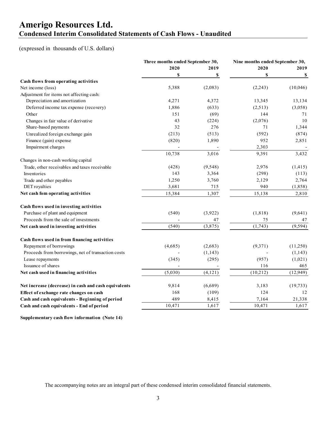### **Amerigo Resources Ltd. Condensed Interim Consolidated Statements of Cash Flows - Unaudited**

#### (expressed in thousands of U.S. dollars)

|                                                      | Three months ended September 30, |          | Nine months ended September 30, |           |  |
|------------------------------------------------------|----------------------------------|----------|---------------------------------|-----------|--|
|                                                      | 2020                             | 2019     | 2020                            | 2019      |  |
|                                                      | \$                               | \$       | \$                              | \$        |  |
| Cash flows from operating activities                 |                                  |          |                                 |           |  |
| Net income (loss)                                    | 5,388                            | (2,083)  | (2,243)                         | (10,046)  |  |
| Adjustment for items not affecting cash:             |                                  |          |                                 |           |  |
| Depreciation and amortization                        | 4,271                            | 4,372    | 13,345                          | 13,134    |  |
| Deferred income tax expense (recovery)               | 1,886                            | (633)    | (2,513)                         | (3,058)   |  |
| Other                                                | 151                              | (69)     | 144                             | 71        |  |
| Changes in fair value of derivative                  | 43                               | (224)    | (2,076)                         | 10        |  |
| Share-based payments                                 | 32                               | 276      | 71                              | 1,344     |  |
| Unrealized foreign exchange gain                     | (213)                            | (513)    | (592)                           | (874)     |  |
| Finance (gain) expense                               | (820)                            | 1,890    | 952                             | 2,851     |  |
| Impairment charges                                   |                                  |          | 2,303                           |           |  |
|                                                      | 10,738                           | 3,016    | 9,391                           | 3,432     |  |
| Changes in non-cash working capital                  |                                  |          |                                 |           |  |
| Trade, other receivables and taxes receivable        | (428)                            | (9, 548) | 2,976                           | (1, 415)  |  |
| Inventories                                          | 143                              | 3,364    | (298)                           | (113)     |  |
| Trade and other payables                             | 1,250                            | 3,760    | 2,129                           | 2,764     |  |
| DET royalties                                        | 3,681                            | 715      | 940                             | (1, 858)  |  |
| Net cash fom operating activities                    | 15,384                           | 1,307    | 15,138                          | 2,810     |  |
| Cash flows used in investing activities              |                                  |          |                                 |           |  |
| Purchase of plant and equipment                      | (540)                            | (3,922)  | (1, 818)                        | (9,641)   |  |
| Proceeds from the sale of investments                |                                  | 47       | 75                              | 47        |  |
| Net cash used in investing activities                | (540)                            | (3,875)  | (1,743)                         | (9, 594)  |  |
| Cash flows used in from financing activities         |                                  |          |                                 |           |  |
| Repayment of borrowings                              | (4,685)                          | (2,683)  | (9,371)                         | (11,250)  |  |
| Proceeds from borrowings, net of transaction costs   |                                  | (1, 143) |                                 | (1,143)   |  |
| Lease repayments                                     | (345)                            | (295)    | (957)                           | (1,021)   |  |
| Issuance of shares                                   |                                  |          | 116                             | 465       |  |
| Net cash used in financing activities                | (5,030)                          | (4, 121) | (10,212)                        | (12,949)  |  |
| Net increase (decrease) in cash and cash equivalents | 9,814                            | (6,689)  | 3,183                           | (19, 733) |  |
| Effect of exchange rate changes on cash              | 168                              | (109)    | 124                             | 12        |  |
| Cash and cash equivalents - Beginning of period      | 489                              | 8,415    | 7,164                           | 21,338    |  |
| Cash and cash equivalents - End of period            | 10,471                           | 1,617    | 10,471                          | 1,617     |  |
|                                                      |                                  |          |                                 |           |  |

**Supplementary cash flow information (Note 14)**

The accompanying notes are an integral part of these condensed interim consolidated financial statements.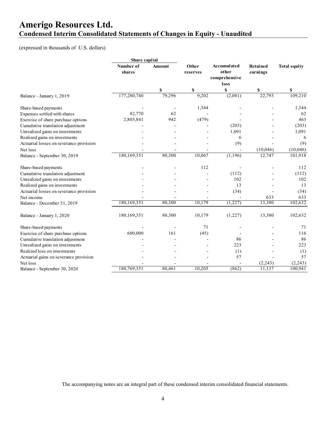### **Amerigo Resources Ltd. Condensed Interim Consolidated Statements of Changes in Equity - Unaudited**

(expressed in thousands of U.S. dollars)

|                                         | Share capital       |               |                   |                                               |                             |                     |
|-----------------------------------------|---------------------|---------------|-------------------|-----------------------------------------------|-----------------------------|---------------------|
|                                         | Number of<br>shares | <b>Amount</b> | Other<br>reserves | Accumulated<br>other<br>comprehensive<br>loss | <b>Retained</b><br>earnings | <b>Total equity</b> |
|                                         |                     | \$            | \$                | \$                                            | \$                          | \$                  |
| Balance - January 1, 2019               | 177,280,740         | 79,296        | 9,202             | (2,081)                                       | 22,793                      | 109,210             |
| Share-based payments                    |                     |               | 1,344             |                                               |                             | 1,344               |
| Expenses settled with shares            | 82,770              | 62            |                   |                                               |                             | 62                  |
| Exercise of share purchase options      | 2,805,841           | 942           | (479)             |                                               |                             | 463                 |
| Cumulative translation adjustment       |                     |               |                   | (203)                                         |                             | (203)               |
| Unrealized gains on investments         |                     |               |                   | 1,091                                         |                             | 1,091               |
| Realized gains on investments           |                     |               |                   | 6                                             |                             | 6                   |
| Actuarial losses on severance provision |                     |               |                   | (9)                                           |                             | (9)                 |
| Net loss                                |                     |               |                   |                                               | (10,046)                    | (10,046)            |
| Balance - September 30, 2019            | 180,169,351         | 80,300        | 10,067            | (1, 196)                                      | 12,747                      | 101,918             |
| Share-based payments                    |                     |               | 112               |                                               |                             | 112                 |
| Cumulative translation adjustment       |                     |               |                   | (112)                                         |                             | (112)               |
| Unrealized gains on investments         |                     |               |                   | 102                                           |                             | 102                 |
| Realized gains on investments           |                     |               |                   | 13                                            |                             | 13                  |
| Actuarial losses on severance provision |                     |               |                   | (34)                                          |                             | (34)                |
| Net income                              |                     |               |                   |                                               | 633                         | 633                 |
| Balance - December 31, 2019             | 180,169,351         | 80,300        | 10,179            | (1,227)                                       | 13,380                      | 102,632             |
| Balance - January 1, 2020               | 180,169,351         | 80,300        | 10,179            | (1,227)                                       | 13,380                      | 102,632             |
| Share-based payments                    |                     |               | 71                |                                               |                             | 71                  |
| Exercise of share purchase options      | 600,000             | 161           | (45)              |                                               |                             | 116                 |
| Cumulative translation adjustment       |                     |               |                   | 86                                            |                             | 86                  |
| Unrealized gains on investments         |                     |               |                   | 223                                           |                             | 223                 |
| Realized loss on investments            |                     |               |                   | (1)                                           |                             | (1)                 |
| Actuarial gains on severance provision  |                     |               |                   | 57                                            |                             | 57                  |
| Net loss                                |                     |               |                   |                                               | (2,243)                     | (2,243)             |
| Balance - September 30, 2020            | 180,769,351         | 80,461        | 10,205            | (862)                                         | 11,137                      | 100,941             |

The accompanying notes are an integral part of these condensed interim consolidated financial statements.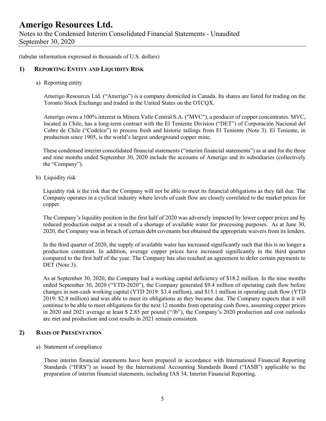Notes to the Condensed Interim Consolidated Financial Statements - Unaudited September 30, 2020

(tabular information expressed in thousands of U.S. dollars)

#### **1) REPORTING ENTITY AND LIQUIDITY RISK**

a) Reporting entity

Amerigo Resources Ltd. ("Amerigo") is a company domiciled in Canada. Its shares are listed for trading on the Toronto Stock Exchange and traded in the United States on the OTCQX.

Amerigo owns a 100% interest in Minera Valle Central S.A. ("MVC"), a producer of copper concentrates. MVC, located in Chile, has a long-term contract with the El Teniente Division ("DET") of Corporación Nacional del Cobre de Chile ("Codelco") to process fresh and historic tailings from El Teniente (Note 3). El Teniente, in production since 1905, is the world's largest underground copper mine.

These condensed interim consolidated financial statements ("interim financial statements") as at and for the three and nine months ended September 30, 2020 include the accounts of Amerigo and its subsidiaries (collectively the "Company").

b) Liquidity risk

Liquidity risk is the risk that the Company will not be able to meet its financial obligations as they fall due. The Company operates in a cyclical industry where levels of cash flow are closely correlated to the market prices for copper.

The Company's liquidity position in the first half of 2020 was adversely impacted by lower copper prices and by reduced production output as a result of a shortage of available water for processing purposes. As at June 30, 2020, the Company was in breach of certain debt covenants but obtained the appropriate waivers from its lenders.

In the third quarter of 2020, the supply of available water has increased significantly such that this is no longer a production constraint. In addition, average copper prices have increased significantly in the third quarter compared to the first half of the year. The Company has also reached an agreement to defer certain payments to DET (Note 3).

As at September 30, 2020, the Company had a working capital deficiency of \$18.2 million. In the nine months ended September 30, 2020 ("YTD-2020"), the Company generated \$9.4 million of operating cash flow before changes in non-cash working capital (YTD 2019: \$3.4 million), and \$15.1 million in operating cash flow (YTD 2019: \$2.8 million) and was able to meet its obligations as they became due. The Company expects that it will continue to be able to meet obligations for the next 12 months from operating cash flows, assuming copper prices in 2020 and 2021 average at least \$ 2.85 per pound ("/lb"), the Company's 2020 production and cost outlooks are met and production and cost results in 2021 remain consistent.

#### **2) BASIS OF PRESENTATION**

#### a) Statement of compliance

These interim financial statements have been prepared in accordance with International Financial Reporting Standards ("IFRS") as issued by the International Accounting Standards Board ("IASB") applicable to the preparation of interim financial statements, including IAS 34, Interim Financial Reporting.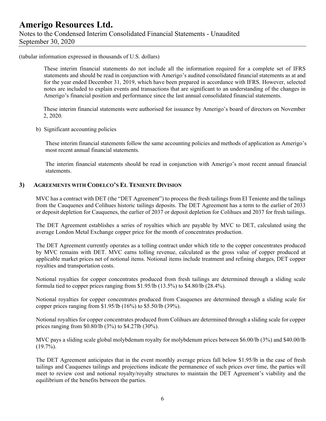### **Amerigo Resources Ltd.**  Notes to the Condensed Interim Consolidated Financial Statements - Unaudited September 30, 2020

(tabular information expressed in thousands of U.S. dollars)

These interim financial statements do not include all the information required for a complete set of IFRS statements and should be read in conjunction with Amerigo's audited consolidated financial statements as at and for the year ended December 31, 2019, which have been prepared in accordance with IFRS. However, selected notes are included to explain events and transactions that are significant to an understanding of the changes in Amerigo's financial position and performance since the last annual consolidated financial statements.

 These interim financial statements were authorised for issuance by Amerigo's board of directors on November 2, 2020.

b) Significant accounting policies

These interim financial statements follow the same accounting policies and methods of application as Amerigo's most recent annual financial statements.

The interim financial statements should be read in conjunction with Amerigo's most recent annual financial statements.

#### **3) AGREEMENTS WITH CODELCO'S EL TENIENTE DIVISION**

MVC has a contract with DET (the "DET Agreement") to process the fresh tailings from El Teniente and the tailings from the Cauquenes and Colihues historic tailings deposits. The DET Agreement has a term to the earlier of 2033 or deposit depletion for Cauquenes, the earlier of 2037 or deposit depletion for Colihues and 2037 for fresh tailings.

The DET Agreement establishes a series of royalties which are payable by MVC to DET, calculated using the average London Metal Exchange copper price for the month of concentrates production.

The DET Agreement currently operates as a tolling contract under which title to the copper concentrates produced by MVC remains with DET. MVC earns tolling revenue, calculated as the gross value of copper produced at applicable market prices net of notional items. Notional items include treatment and refining charges, DET copper royalties and transportation costs.

Notional royalties for copper concentrates produced from fresh tailings are determined through a sliding scale formula tied to copper prices ranging from \$1.95/lb (13.5%) to \$4.80/lb (28.4%).

Notional royalties for copper concentrates produced from Cauquenes are determined through a sliding scale for copper prices ranging from \$1.95/lb (16%) to \$5.50/lb (39%).

Notional royalties for copper concentrates produced from Colihues are determined through a sliding scale for copper prices ranging from \$0.80/lb (3%) to \$4.27lb (30%).

MVC pays a sliding scale global molybdenum royalty for molybdenum prices between \$6.00/lb (3%) and \$40.00/lb  $(19.7\%)$ .

The DET Agreement anticipates that in the event monthly average prices fall below \$1.95/lb in the case of fresh tailings and Cauquenes tailings and projections indicate the permanence of such prices over time, the parties will meet to review cost and notional royalty/royalty structures to maintain the DET Agreement's viability and the equilibrium of the benefits between the parties.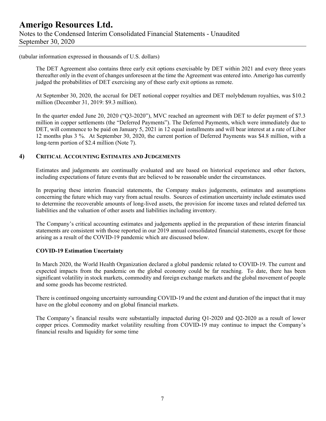(tabular information expressed in thousands of U.S. dollars)

The DET Agreement also contains three early exit options exercisable by DET within 2021 and every three years thereafter only in the event of changes unforeseen at the time the Agreement was entered into. Amerigo has currently judged the probabilities of DET exercising any of these early exit options as remote.

At September 30, 2020, the accrual for DET notional copper royalties and DET molybdenum royalties, was \$10.2 million (December 31, 2019: \$9.3 million).

In the quarter ended June 20, 2020 ("Q3-2020"), MVC reached an agreement with DET to defer payment of \$7.3 million in copper settlements (the "Deferred Payments"). The Deferred Payments, which were immediately due to DET, will commence to be paid on January 5, 2021 in 12 equal installments and will bear interest at a rate of Libor 12 months plus 3 %. At September 30, 2020, the current portion of Deferred Payments was \$4.8 million, with a long-term portion of \$2.4 million (Note 7).

#### **4) CRITICAL ACCOUNTING ESTIMATES AND JUDGEMENTS**

Estimates and judgements are continually evaluated and are based on historical experience and other factors, including expectations of future events that are believed to be reasonable under the circumstances.

In preparing these interim financial statements, the Company makes judgements, estimates and assumptions concerning the future which may vary from actual results. Sources of estimation uncertainty include estimates used to determine the recoverable amounts of long-lived assets, the provision for income taxes and related deferred tax liabilities and the valuation of other assets and liabilities including inventory.

The Company's critical accounting estimates and judgements applied in the preparation of these interim financial statements are consistent with those reported in our 2019 annual consolidated financial statements, except for those arising as a result of the COVID-19 pandemic which are discussed below.

#### **COVID-19 Estimation Uncertainty**

In March 2020, the World Health Organization declared a global pandemic related to COVID-19. The current and expected impacts from the pandemic on the global economy could be far reaching. To date, there has been significant volatility in stock markets, commodity and foreign exchange markets and the global movement of people and some goods has become restricted.

There is continued ongoing uncertainty surrounding COVID-19 and the extent and duration of the impact that it may have on the global economy and on global financial markets.

The Company's financial results were substantially impacted during Q1-2020 and Q2-2020 as a result of lower copper prices. Commodity market volatility resulting from COVID-19 may continue to impact the Company's financial results and liquidity for some time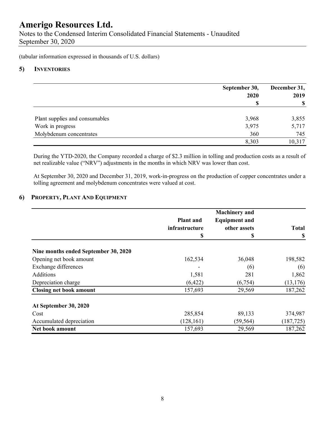Notes to the Condensed Interim Consolidated Financial Statements - Unaudited September 30, 2020

(tabular information expressed in thousands of U.S. dollars)

#### **5) INVENTORIES**

|                                | September 30, | December 31, |  |
|--------------------------------|---------------|--------------|--|
|                                | 2020          | 2019         |  |
|                                | \$            |              |  |
| Plant supplies and consumables | 3,968         | 3,855        |  |
| Work in progress               | 3,975         | 5,717        |  |
| Molybdenum concentrates        | 360           | 745          |  |
|                                | 8,303         | 10,317       |  |

During the YTD-2020, the Company recorded a charge of \$2.3 million in tolling and production costs as a result of net realizable value ("NRV") adjustments in the months in which NRV was lower than cost.

At September 30, 2020 and December 31, 2019, work-in-progress on the production of copper concentrates under a tolling agreement and molybdenum concentrates were valued at cost.

#### **6) PROPERTY, PLANT AND EQUIPMENT**

|                                      | <b>Plant</b> and<br>infrastructure | <b>Machinery</b> and<br><b>Equipment and</b><br>other assets | <b>Total</b> |
|--------------------------------------|------------------------------------|--------------------------------------------------------------|--------------|
|                                      | \$                                 | \$                                                           | \$           |
| Nine months ended September 30, 2020 |                                    |                                                              |              |
| Opening net book amount              | 162,534                            | 36,048                                                       | 198,582      |
| Exchange differences                 |                                    | (6)                                                          | (6)          |
| Additions                            | 1,581                              | 281                                                          | 1,862        |
| Depreciation charge                  | (6,422)                            | (6,754)                                                      | (13, 176)    |
| <b>Closing net book amount</b>       | 157,693                            | 29,569                                                       | 187,262      |
| At September 30, 2020                |                                    |                                                              |              |
| Cost                                 | 285,854                            | 89,133                                                       | 374,987      |
| Accumulated depreciation             | (128, 161)                         | (59, 564)                                                    | (187, 725)   |
| Net book amount                      | 157,693                            | 29,569                                                       | 187,262      |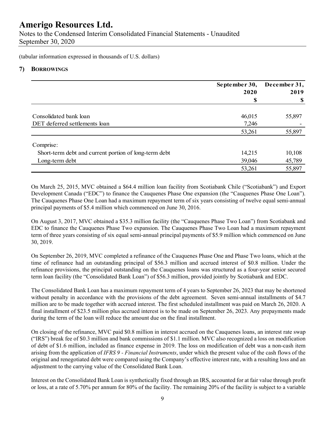Notes to the Condensed Interim Consolidated Financial Statements - Unaudited September 30, 2020

(tabular information expressed in thousands of U.S. dollars)

#### **7) BORROWINGS**

|                                                       | September 30,<br>2020 | December 31,<br>2019 |
|-------------------------------------------------------|-----------------------|----------------------|
|                                                       | S                     | \$                   |
| Consolidated bank loan                                | 46,015                | 55,897               |
| DET deferred settlements loan                         | 7,246                 |                      |
|                                                       | 53,261                | 55,897               |
| Comprise:                                             |                       |                      |
| Short-term debt and current portion of long-term debt | 14,215                | 10,108               |
| Long-term debt                                        | 39,046                | 45,789               |
|                                                       | 53,261                | 55,897               |

On March 25, 2015, MVC obtained a \$64.4 million loan facility from Scotiabank Chile ("Scotiabank") and Export Development Canada ("EDC") to finance the Cauquenes Phase One expansion (the "Cauquenes Phase One Loan"). The Cauquenes Phase One Loan had a maximum repayment term of six years consisting of twelve equal semi-annual principal payments of \$5.4 million which commenced on June 30, 2016.

On August 3, 2017, MVC obtained a \$35.3 million facility (the "Cauquenes Phase Two Loan") from Scotiabank and EDC to finance the Cauquenes Phase Two expansion. The Cauquenes Phase Two Loan had a maximum repayment term of three years consisting of six equal semi-annual principal payments of \$5.9 million which commenced on June 30, 2019.

On September 26, 2019, MVC completed a refinance of the Cauquenes Phase One and Phase Two loans, which at the time of refinance had an outstanding principal of \$56.3 million and accrued interest of \$0.8 million. Under the refinance provisions, the principal outstanding on the Cauquenes loans was structured as a four-year senior secured term loan facility (the "Consolidated Bank Loan") of \$56.3 million, provided jointly by Scotiabank and EDC.

The Consolidated Bank Loan has a maximum repayment term of 4 years to September 26, 2023 that may be shortened without penalty in accordance with the provisions of the debt agreement. Seven semi-annual installments of \$4.7 million are to be made together with accrued interest. The first scheduled installment was paid on March 26, 2020. A final installment of \$23.5 million plus accrued interest is to be made on September 26, 2023. Any prepayments made during the term of the loan will reduce the amount due on the final installment.

On closing of the refinance, MVC paid \$0.8 million in interest accrued on the Cauquenes loans, an interest rate swap ("IRS") break fee of \$0.3 million and bank commissions of \$1.1 million. MVC also recognized a loss on modification of debt of \$1.6 million, included as finance expense in 2019. The loss on modification of debt was a non-cash item arising from the application of *IFRS 9 - Financial Instruments*, under which the present value of the cash flows of the original and renegotiated debt were compared using the Company's effective interest rate, with a resulting loss and an adjustment to the carrying value of the Consolidated Bank Loan.

Interest on the Consolidated Bank Loan is synthetically fixed through an IRS, accounted for at fair value through profit or loss, at a rate of 5.70% per annum for 80% of the facility. The remaining 20% of the facility is subject to a variable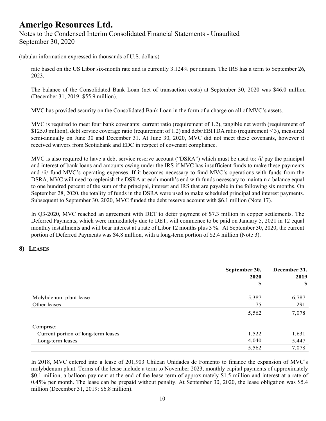### **Amerigo Resources Ltd.**  Notes to the Condensed Interim Consolidated Financial Statements - Unaudited September 30, 2020

(tabular information expressed in thousands of U.S. dollars)

rate based on the US Libor six-month rate and is currently 3.124% per annum. The IRS has a term to September 26, 2023.

The balance of the Consolidated Bank Loan (net of transaction costs) at September 30, 2020 was \$46.0 million (December 31, 2019: \$55.9 million).

MVC has provided security on the Consolidated Bank Loan in the form of a charge on all of MVC's assets.

MVC is required to meet four bank covenants: current ratio (requirement of 1.2), tangible net worth (requirement of \$125.0 million), debt service coverage ratio (requirement of 1.2) and debt/EBITDA ratio (requirement < 3), measured semi-annually on June 30 and December 31. At June 30, 2020, MVC did not meet these covenants, however it received waivers from Scotiabank and EDC in respect of covenant compliance.

MVC is also required to have a debt service reserve account ("DSRA") which must be used to: /i/ pay the principal and interest of bank loans and amounts owing under the IRS if MVC has insufficient funds to make these payments and /ii/ fund MVC's operating expenses. If it becomes necessary to fund MVC's operations with funds from the DSRA, MVC will need to replenish the DSRA at each month's end with funds necessary to maintain a balance equal to one hundred percent of the sum of the principal, interest and IRS that are payable in the following six months. On September 28, 2020, the totality of funds in the DSRA were used to make scheduled principal and interest payments. Subsequent to September 30, 2020, MVC funded the debt reserve account with \$6.1 million (Note 17).

In Q3-2020, MVC reached an agreement with DET to defer payment of \$7.3 million in copper settlements. The Deferred Payments, which were immediately due to DET, will commence to be paid on January 5, 2021 in 12 equal monthly installments and will bear interest at a rate of Libor 12 months plus 3 %. At September 30, 2020, the current portion of Deferred Payments was \$4.8 million, with a long-term portion of \$2.4 million (Note 3).

#### **8) LEASES**

|                                     | September 30,<br>2020 | December 31,<br>2019 |
|-------------------------------------|-----------------------|----------------------|
|                                     | \$                    | \$                   |
| Molybdenum plant lease              | 5,387                 | 6,787                |
| Other leases                        | 175                   | 291                  |
|                                     | 5,562                 | 7,078                |
| Comprise:                           |                       |                      |
| Current portion of long-term leases | 1,522                 | 1,631                |
| Long-term leases                    | 4,040                 | 5,447                |
|                                     | 5,562                 | 7,078                |

In 2018, MVC entered into a lease of 201,903 Chilean Unidades de Fomento to finance the expansion of MVC's molybdenum plant. Terms of the lease include a term to November 2023, monthly capital payments of approximately \$0.1 million, a balloon payment at the end of the lease term of approximately \$1.5 million and interest at a rate of 0.45% per month. The lease can be prepaid without penalty. At September 30, 2020, the lease obligation was \$5.4 million (December 31, 2019: \$6.8 million).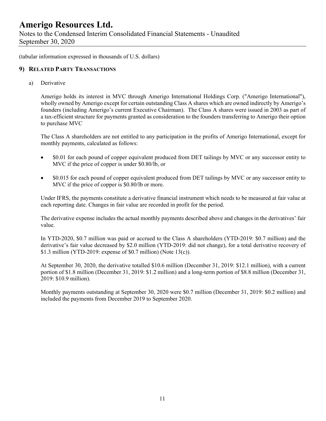Notes to the Condensed Interim Consolidated Financial Statements - Unaudited September 30, 2020

(tabular information expressed in thousands of U.S. dollars)

#### **9) RELATED PARTY TRANSACTIONS**

a) Derivative

Amerigo holds its interest in MVC through Amerigo International Holdings Corp. ("Amerigo International"), wholly owned by Amerigo except for certain outstanding Class A shares which are owned indirectly by Amerigo's founders (including Amerigo's current Executive Chairman). The Class A shares were issued in 2003 as part of a tax-efficient structure for payments granted as consideration to the founders transferring to Amerigo their option to purchase MVC

The Class A shareholders are not entitled to any participation in the profits of Amerigo International, except for monthly payments, calculated as follows:

- \$0.01 for each pound of copper equivalent produced from DET tailings by MVC or any successor entity to MVC if the price of copper is under \$0.80/lb, or
- \$0.015 for each pound of copper equivalent produced from DET tailings by MVC or any successor entity to MVC if the price of copper is \$0.80/lb or more.

Under IFRS, the payments constitute a derivative financial instrument which needs to be measured at fair value at each reporting date. Changes in fair value are recorded in profit for the period.

The derivative expense includes the actual monthly payments described above and changes in the derivatives' fair value.

In YTD-2020, \$0.7 million was paid or accrued to the Class A shareholders (YTD-2019: \$0.7 million) and the derivative's fair value decreased by \$2.0 million (YTD-2019: did not change), for a total derivative recovery of \$1.3 million (YTD-2019: expense of \$0.7 million) (Note 13(c)).

At September 30, 2020, the derivative totalled \$10.6 million (December 31, 2019: \$12.1 million), with a current portion of \$1.8 million (December 31, 2019: \$1.2 million) and a long-term portion of \$8.8 million (December 31, 2019: \$10.9 million).

Monthly payments outstanding at September 30, 2020 were \$0.7 million (December 31, 2019: \$0.2 million) and included the payments from December 2019 to September 2020.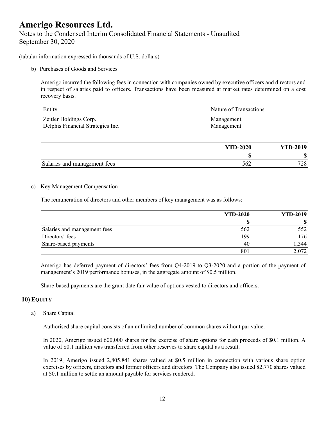(tabular information expressed in thousands of U.S. dollars)

b) Purchases of Goods and Services

Amerigo incurred the following fees in connection with companies owned by executive officers and directors and in respect of salaries paid to officers. Transactions have been measured at market rates determined on a cost recovery basis.

| Entity                            | Nature of Transactions |
|-----------------------------------|------------------------|
| Zeitler Holdings Corp.            | Management             |
| Delphis Financial Strategies Inc. | Management             |

|                              | <b>YTD-2020</b> | <b>YTD-2019</b>   |
|------------------------------|-----------------|-------------------|
|                              | ۳D              | Ψ                 |
| Salaries and management fees | 562             | 700<br>$\angle 0$ |

#### c) Key Management Compensation

The remuneration of directors and other members of key management was as follows:

|                              | <b>YTD-2020</b> | <b>YTD-2019</b> |
|------------------------------|-----------------|-----------------|
|                              |                 |                 |
| Salaries and management fees | 562             | 552             |
| Directors' fees              | 199             | 176             |
| Share-based payments         | 40              | 1,344           |
|                              | 801             | 2,072           |

Amerigo has deferred payment of directors' fees from Q4-2019 to Q3-2020 and a portion of the payment of management's 2019 performance bonuses, in the aggregate amount of \$0.5 million.

Share-based payments are the grant date fair value of options vested to directors and officers.

#### **10) EQUITY**

a) Share Capital

Authorised share capital consists of an unlimited number of common shares without par value.

In 2020, Amerigo issued 600,000 shares for the exercise of share options for cash proceeds of \$0.1 million. A value of \$0.1 million was transferred from other reserves to share capital as a result.

In 2019, Amerigo issued 2,805,841 shares valued at \$0.5 million in connection with various share option exercises by officers, directors and former officers and directors. The Company also issued 82,770 shares valued at \$0.1 million to settle an amount payable for services rendered.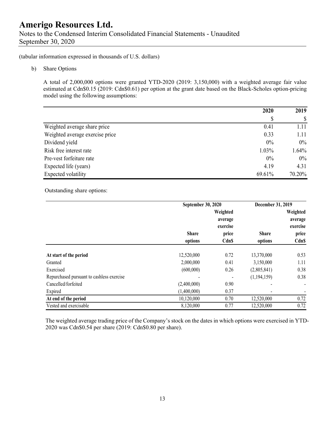Notes to the Condensed Interim Consolidated Financial Statements - Unaudited September 30, 2020

(tabular information expressed in thousands of U.S. dollars)

b) Share Options

A total of 2,000,000 options were granted YTD-2020 (2019: 3,150,000) with a weighted average fair value estimated at Cdn\$0.15 (2019: Cdn\$0.61) per option at the grant date based on the Black-Scholes option-pricing model using the following assumptions:

|                                 | 2020   | 2019   |
|---------------------------------|--------|--------|
|                                 |        |        |
| Weighted average share price    | 0.41   | 1.11   |
| Weighted average exercise price | 0.33   | 1.11   |
| Dividend yield                  | 0%     | $0\%$  |
| Risk free interest rate         | 1.03%  | 1.64%  |
| Pre-vest forfeiture rate        | $0\%$  | $0\%$  |
| Expected life (years)           | 4.19   | 4.31   |
| Expected volatility             | 69.61% | 70.20% |

Outstanding share options:

|                                           |                     | September 30, 2020 |              | December 31, 2019   |
|-------------------------------------------|---------------------|--------------------|--------------|---------------------|
|                                           | Weighted<br>average |                    |              | Weighted<br>average |
|                                           |                     | exercise           |              | exercise            |
|                                           | <b>Share</b>        | price              | <b>Share</b> | price               |
|                                           | options             | <b>CdnS</b>        | options      | <b>Cdn\$</b>        |
| At start of the period                    | 12,520,000          | 0.72               | 13,370,000   | 0.53                |
| Granted                                   | 2,000,000           | 0.41               | 3,150,000    | 1.11                |
| Exercised                                 | (600,000)           | 0.26               | (2,805,841)  | 0.38                |
| Repurchased pursuant to cashless exercise |                     |                    | (1,194,159)  | 0.38                |
| Cancelled/forfeited                       | (2,400,000)         | 0.90               |              | ٠                   |
| Expired                                   | (1,400,000)         | 0.37               |              |                     |
| At end of the period                      | 10,120,000          | 0.70               | 12,520,000   | 0.72                |
| Vested and exercisable                    | 8,120,000           | 0.77               | 12,520,000   | 0.72                |

The weighted average trading price of the Company's stock on the dates in which options were exercised in YTD-2020 was Cdn\$0.54 per share (2019: Cdn\$0.80 per share).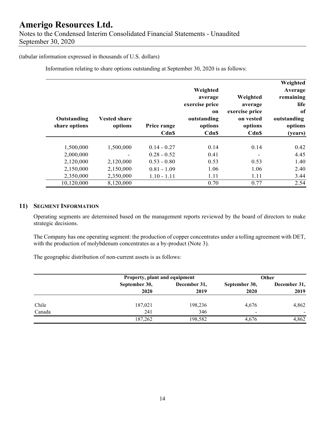### **Amerigo Resources Ltd.**  Notes to the Condensed Interim Consolidated Financial Statements - Unaudited September 30, 2020

(tabular information expressed in thousands of U.S. dollars)

Information relating to share options outstanding at September 30, 2020 is as follows:

| Weighted<br>Average<br>remaining<br>life<br>of<br>outstanding<br>options<br>(years) | Weighted<br>average<br>exercise price<br>on vested<br>options<br><b>Cdn\$</b> | Weighted<br>average<br>exercise price<br>on<br>outstanding<br>options<br><b>Cdn\$</b> | Price range<br>Cdn\$                            | <b>Vested share</b><br>options      | Outstanding<br>share options        |
|-------------------------------------------------------------------------------------|-------------------------------------------------------------------------------|---------------------------------------------------------------------------------------|-------------------------------------------------|-------------------------------------|-------------------------------------|
| 0.42<br>4.45                                                                        | 0.14                                                                          | 0.14<br>0.41                                                                          | $0.14 - 0.27$<br>$0.28 - 0.52$                  | 1,500,000                           | 1,500,000<br>2,000,000              |
| 1.40<br>2.40<br>3.44                                                                | 0.53<br>1.06<br>1.11                                                          | 0.53<br>1.06<br>1.11                                                                  | $0.53 - 0.80$<br>$0.81 - 1.09$<br>$1.10 - 1.11$ | 2,120,000<br>2,150,000<br>2,350,000 | 2,120,000<br>2,150,000<br>2,350,000 |
| 2.54                                                                                | 0.77                                                                          | 0.70                                                                                  |                                                 | 8,120,000                           | 10,120,000                          |

#### **11) SEGMENT INFORMATION**

Operating segments are determined based on the management reports reviewed by the board of directors to make strategic decisions.

The Company has one operating segment: the production of copper concentrates under a tolling agreement with DET, with the production of molybdenum concentrates as a by-product (Note 3).

The geographic distribution of non-current assets is as follows:

|        |                       | Property, plant and equipment |                       | <b>Other</b>             |
|--------|-----------------------|-------------------------------|-----------------------|--------------------------|
|        | September 30,<br>2020 | December 31,<br>2019          | September 30,<br>2020 | December 31,<br>2019     |
| Chile  | 187,021               | 198,236                       | 4,676                 | 4,862                    |
| Canada | 241                   | 346                           | $\blacksquare$        | $\overline{\phantom{0}}$ |
|        | 187,262               | 198,582                       | 4.676                 | 4,862                    |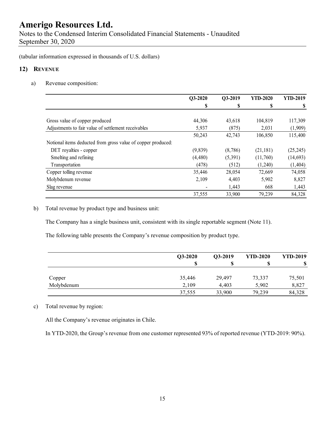Notes to the Condensed Interim Consolidated Financial Statements - Unaudited September 30, 2020

(tabular information expressed in thousands of U.S. dollars)

#### **12) REVENUE**

a) Revenue composition:

|                                                              | Q3-2020  | Q3-2019 | <b>YTD-2020</b> | <b>YTD-2019</b> |
|--------------------------------------------------------------|----------|---------|-----------------|-----------------|
|                                                              | S        | S       | \$              |                 |
|                                                              |          |         |                 |                 |
| Gross value of copper produced                               | 44,306   | 43,618  | 104,819         | 117,309         |
| Adjustments to fair value of settlement receivables          | 5,937    | (875)   | 2,031           | (1,909)         |
|                                                              | 50,243   | 42,743  | 106,850         | 115,400         |
| Notional items deducted from gross value of copper produced: |          |         |                 |                 |
| DET royalties - copper                                       | (9, 839) | (8,786) | (21, 181)       | (25, 245)       |
| Smelting and refining                                        | (4,480)  | (5,391) | (11,760)        | (14, 693)       |
| Transportation                                               | (478)    | (512)   | (1,240)         | (1, 404)        |
| Copper tolling revenue                                       | 35,446   | 28,054  | 72,669          | 74,058          |
| Molybdenum revenue                                           | 2,109    | 4,403   | 5,902           | 8,827           |
| Slag revenue                                                 |          | 1,443   | 668             | 1,443           |
|                                                              | 37,555   | 33,900  | 79,239          | 84,328          |

b) Total revenue by product type and business unit:

The Company has a single business unit, consistent with its single reportable segment (Note 11).

The following table presents the Company's revenue composition by product type.

|            | $Q3-2020$ | Q3-2019 | <b>YTD-2020</b> | <b>YTD-2019</b> |
|------------|-----------|---------|-----------------|-----------------|
|            | \$        |         |                 | S               |
| Copper     | 35,446    | 29,497  | 73,337          | 75,501          |
| Molybdenum | 2.109     | 4,403   | 5,902           | 8,827           |
|            | 37,555    | 33,900  | 79,239          | 84,328          |

#### c) Total revenue by region:

All the Company's revenue originates in Chile.

In YTD-2020, the Group's revenue from one customer represented 93% of reported revenue (YTD-2019: 90%).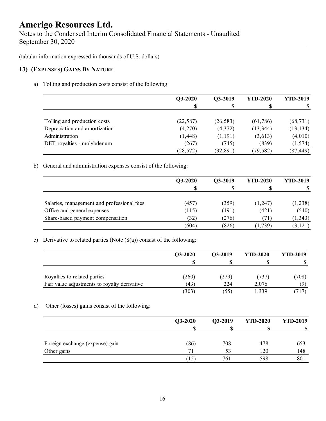Notes to the Condensed Interim Consolidated Financial Statements - Unaudited September 30, 2020

(tabular information expressed in thousands of U.S. dollars)

#### **13) (EXPENSES) GAINS BY NATURE**

a) Tolling and production costs consist of the following:

|                               | Q3-2020   | Q3-2019   | <b>YTD-2020</b> | <b>YTD-2019</b> |
|-------------------------------|-----------|-----------|-----------------|-----------------|
|                               |           |           |                 |                 |
|                               |           |           |                 |                 |
| Tolling and production costs  | (22, 587) | (26, 583) | (61,786)        | (68, 731)       |
| Depreciation and amortization | (4,270)   | (4,372)   | (13, 344)       | (13, 134)       |
| Administration                | (1, 448)  | (1,191)   | (3,613)         | (4,010)         |
| DET royalties - molybdenum    | (267)     | (745)     | (839)           | (1,574)         |
|                               | (28, 572) | (32, 891) | (79, 582)       | (87, 449)       |

b) General and administration expenses consist of the following:

|                                            | Q3-2020 | Q3-2019 | <b>YTD-2020</b> | <b>YTD-2019</b> |
|--------------------------------------------|---------|---------|-----------------|-----------------|
|                                            | S       |         |                 |                 |
| Salaries, management and professional fees | (457)   | (359)   | (1,247)         | (1,238)         |
| Office and general expenses                | (115)   | (191)   | (421)           | (540)           |
| Share-based payment compensation           | (32)    | (276)   | (71)            | (1, 343)        |
|                                            | (604)   | (826)   | (1,739)         | (3, 121)        |

#### c) Derivative to related parties (Note  $(8(a))$  consist of the following:

|                                              | Q3-2020 | O3-2019 | <b>YTD-2020</b> | <b>YTD-2019</b> |
|----------------------------------------------|---------|---------|-----------------|-----------------|
|                                              |         |         |                 |                 |
| Royalties to related parties                 | (260)   | (279)   | (737)           | (708)           |
| Fair value adjustments to royalty derivative | (43)    | 224     | 2,076           | (9)             |
|                                              | (303)   | (55)    | 1.339           | '17             |

d) Other (losses) gains consist of the following:

|                                 | Q3-2020 | Q3-2019 | <b>YTD-2020</b> | <b>YTD-2019</b> |
|---------------------------------|---------|---------|-----------------|-----------------|
|                                 | S       |         |                 | -S              |
| Foreign exchange (expense) gain | (86)    | 708     | 478             | 653             |
| Other gains                     | 71      | 53      | 120             | 148             |
|                                 | 15)     | 761     | 598             | 801             |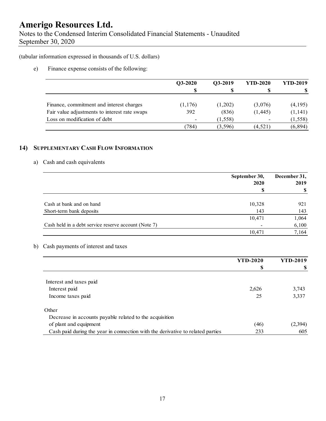Notes to the Condensed Interim Consolidated Financial Statements - Unaudited September 30, 2020

(tabular information expressed in thousands of U.S. dollars)

e) Finance expense consists of the following:

|                                               | $Q3-2020$ | Q3-2019  | <b>YTD-2020</b>          | <b>YTD-2019</b> |
|-----------------------------------------------|-----------|----------|--------------------------|-----------------|
|                                               |           |          |                          |                 |
| Finance, commitment and interest charges      | (1, 176)  | (1,202)  | (3,076)                  | (4,195)         |
| Fair value adjustments to interest rate swaps | 392       | (836)    | (1,445)                  | (1,141)         |
| Loss on modification of debt                  |           | (1, 558) | $\overline{\phantom{0}}$ | (1, 558)        |
|                                               | (784)     | (3,596)  | (4,521)                  | (6,894)         |

#### **14) SUPPLEMENTARY CASH FLOW INFORMATION**

#### a) Cash and cash equivalents

|                                                      | September 30, | December 31, |  |
|------------------------------------------------------|---------------|--------------|--|
|                                                      | 2020          | 2019         |  |
|                                                      |               |              |  |
| Cash at bank and on hand                             | 10,328        | 921          |  |
| Short-term bank deposits                             | 143           | 143          |  |
|                                                      | 10,471        | 1,064        |  |
| Cash held in a debt service reserve account (Note 7) |               | 6,100        |  |
|                                                      | 10.471        | 7,164        |  |

#### b) Cash payments of interest and taxes

|                                                                                | <b>YTD-2020</b> | <b>YTD-2019</b> |
|--------------------------------------------------------------------------------|-----------------|-----------------|
|                                                                                | \$              |                 |
|                                                                                |                 |                 |
| Interest and taxes paid                                                        |                 |                 |
| Interest paid                                                                  | 2,626           | 3,743           |
| Income taxes paid                                                              | 25              | 3,337           |
| Other                                                                          |                 |                 |
| Decrease in accounts payable related to the acquisition                        |                 |                 |
| of plant and equipment                                                         | (46)            | (2,394)         |
| Cash paid during the year in connection with the derivative to related parties | 233             | 605             |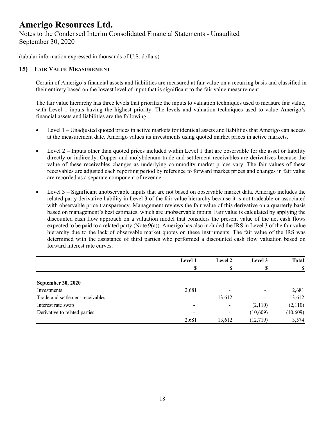Notes to the Condensed Interim Consolidated Financial Statements - Unaudited September 30, 2020

(tabular information expressed in thousands of U.S. dollars)

#### **15) FAIR VALUE MEASUREMENT**

Certain of Amerigo's financial assets and liabilities are measured at fair value on a recurring basis and classified in their entirety based on the lowest level of input that is significant to the fair value measurement.

The fair value hierarchy has three levels that prioritize the inputs to valuation techniques used to measure fair value, with Level 1 inputs having the highest priority. The levels and valuation techniques used to value Amerigo's financial assets and liabilities are the following:

- Level 1 Unadjusted quoted prices in active markets for identical assets and liabilities that Amerigo can access at the measurement date. Amerigo values its investments using quoted market prices in active markets.
- $\bullet$  Level 2 Inputs other than quoted prices included within Level 1 that are observable for the asset or liability directly or indirectly. Copper and molybdenum trade and settlement receivables are derivatives because the value of these receivables changes as underlying commodity market prices vary. The fair values of these receivables are adjusted each reporting period by reference to forward market prices and changes in fair value are recorded as a separate component of revenue.
- Level 3 Significant unobservable inputs that are not based on observable market data. Amerigo includes the related party derivative liability in Level 3 of the fair value hierarchy because it is not tradeable or associated with observable price transparency. Management reviews the fair value of this derivative on a quarterly basis based on management's best estimates, which are unobservable inputs. Fair value is calculated by applying the discounted cash flow approach on a valuation model that considers the present value of the net cash flows expected to be paid to a related party (Note 9(a)). Amerigo has also included the IRS in Level 3 of the fair value hierarchy due to the lack of observable market quotes on these instruments. The fair value of the IRS was determined with the assistance of third parties who performed a discounted cash flow valuation based on forward interest rate curves.

|                                  | Level 1 | Level 2 | Level 3                  | <b>Total</b> |
|----------------------------------|---------|---------|--------------------------|--------------|
|                                  | \$      | S       | S                        | S            |
| <b>September 30, 2020</b>        |         |         |                          |              |
| Investments                      | 2,681   |         | $\overline{\phantom{0}}$ | 2,681        |
| Trade and settlement receivables |         | 13,612  | $\overline{\phantom{0}}$ | 13,612       |
| Interest rate swap               |         | ٠       | (2,110)                  | (2,110)      |
| Derivative to related parties    |         |         | (10, 609)                | (10, 609)    |
|                                  | 2,681   | 13,612  | (12, 719)                | 3,574        |